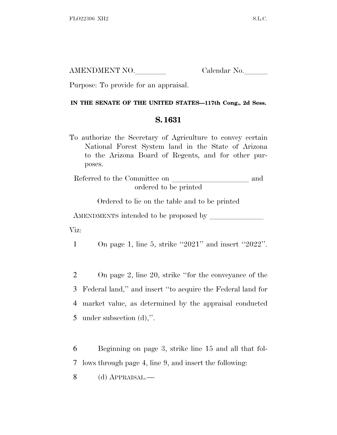| AMENDMENT NO. | Calendar No. |
|---------------|--------------|
|               |              |

Purpose: To provide for an appraisal.

## **IN THE SENATE OF THE UNITED STATES—117th Cong., 2d Sess.**

## **S. 1631**

To authorize the Secretary of Agriculture to convey certain National Forest System land in the State of Arizona to the Arizona Board of Regents, and for other purposes.

Referred to the Committee on and ordered to be printed

Ordered to lie on the table and to be printed

AMENDMENTS intended to be proposed by

Viz:

1 On page 1, line 5, strike ''2021'' and insert ''2022''.

 On page 2, line 20, strike ''for the conveyance of the Federal land,'' and insert ''to acquire the Federal land for market value, as determined by the appraisal conducted under subsection (d),''.

6 Beginning on page 3, strike line 15 and all that fol-7 lows through page 4, line 9, and insert the following:

8 (d) APPRAISAL.—